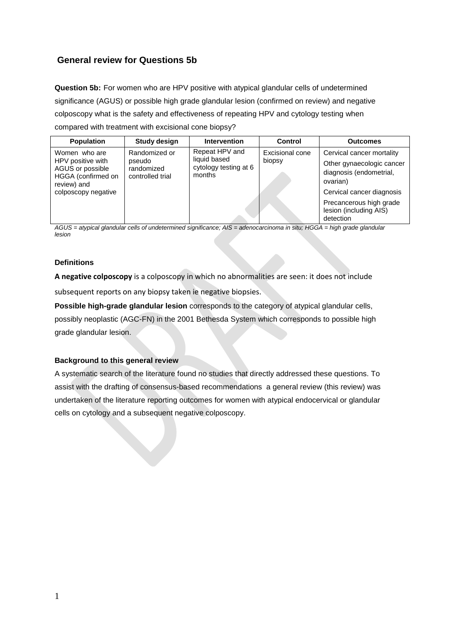# **General review for Questions 5b**

**Question 5b:** For women who are HPV positive with atypical glandular cells of undetermined significance (AGUS) or possible high grade glandular lesion (confirmed on review) and negative colposcopy what is the safety and effectiveness of repeating HPV and cytology testing when compared with treatment with excisional cone biopsy?

| <b>Population</b>                                                                                                  | <b>Study design</b>                                       | <b>Intervention</b>                                               | Control                   | <b>Outcomes</b>                                                                               |
|--------------------------------------------------------------------------------------------------------------------|-----------------------------------------------------------|-------------------------------------------------------------------|---------------------------|-----------------------------------------------------------------------------------------------|
| Women who are<br>HPV positive with<br>AGUS or possible<br>HGGA (confirmed on<br>review) and<br>colposcopy negative | Randomized or<br>pseudo<br>randomized<br>controlled trial | Repeat HPV and<br>liquid based<br>cytology testing at 6<br>months | Excisional cone<br>biopsy | Cervical cancer mortality<br>Other gynaecologic cancer<br>diagnosis (endometrial,<br>ovarian) |
|                                                                                                                    |                                                           |                                                                   |                           | Cervical cancer diagnosis                                                                     |
|                                                                                                                    |                                                           |                                                                   |                           | Precancerous high grade<br>lesion (including AIS)<br>detection                                |

*AGUS = atypical glandular cells of undetermined significance; AIS = adenocarcinoma in situ; HGGA = high grade glandular lesion*

## **Definitions**

**A negative colposcopy** is a colposcopy in which no abnormalities are seen: it does not include subsequent reports on any biopsy taken ie negative biopsies.

**Possible high-grade glandular lesion** corresponds to the category of atypical glandular cells, possibly neoplastic (AGC-FN) in the 2001 Bethesda System which corresponds to possible high

grade glandular lesion.

#### **Background to this general review**

A systematic search of the literature found no studies that directly addressed these questions. To assist with the drafting of consensus-based recommendations a general review (this review) was undertaken of the literature reporting outcomes for women with atypical endocervical or glandular cells on cytology and a subsequent negative colposcopy.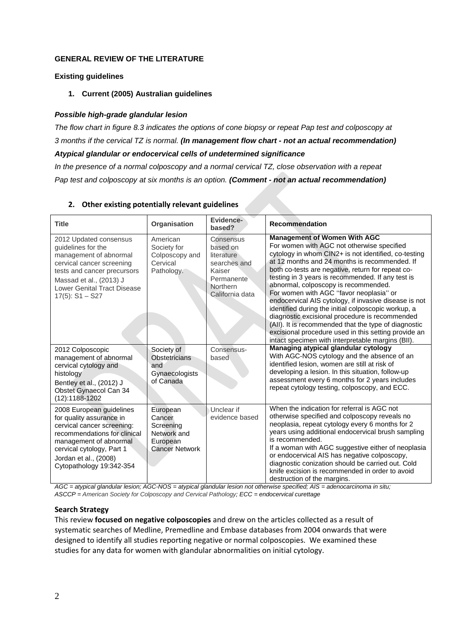## **GENERAL REVIEW OF THE LITERATURE**

#### **Existing guidelines**

**1. Current (2005) Australian guidelines**

## *Possible high-grade glandular lesion*

*The flow chart in figure 8.3 indicates the options of cone biopsy or repeat Pap test and colposcopy at 3 months if the cervical TZ is normal. (In management flow chart - not an actual recommendation) Atypical glandular or endocervical cells of undetermined significance*

*In the presence of a normal colposcopy and a normal cervical TZ, close observation with a repeat Pap test and colposcopy at six months is an option. (Comment - not an actual recommendation)*

| <b>Title</b>                                                                                                                                                                                                                   | Organisation                                                                        | Evidence-<br>based?                                                                                        | <b>Recommendation</b>                                                                                                                                                                                                                                                                                                                                                                                                                                                                                                                                                                                                                                                                                                          |
|--------------------------------------------------------------------------------------------------------------------------------------------------------------------------------------------------------------------------------|-------------------------------------------------------------------------------------|------------------------------------------------------------------------------------------------------------|--------------------------------------------------------------------------------------------------------------------------------------------------------------------------------------------------------------------------------------------------------------------------------------------------------------------------------------------------------------------------------------------------------------------------------------------------------------------------------------------------------------------------------------------------------------------------------------------------------------------------------------------------------------------------------------------------------------------------------|
| 2012 Updated consensus<br>guidelines for the<br>management of abnormal<br>cervical cancer screening<br>tests and cancer precursors<br>Massad et al., (2013) J<br>Lower Genital Tract Disease<br>$17(5)$ : S1 - S27             | American<br>Society for<br>Colposcopy and<br>Cervical<br>Pathology.                 | Consensus<br>based on<br>literature<br>searches and<br>Kaiser<br>Permanente<br>Northern<br>California data | <b>Management of Women With AGC</b><br>For women with AGC not otherwise specified<br>cytology in whom CIN2+ is not identified, co-testing<br>at 12 months and 24 months is recommended. If<br>both co-tests are negative, return for repeat co-<br>testing in 3 years is recommended. If any test is<br>abnormal, colposcopy is recommended.<br>For women with AGC "favor neoplasia" or<br>endocervical AIS cytology, if invasive disease is not<br>identified during the initial colposcopic workup, a<br>diagnostic excisional procedure is recommended<br>(All). It is recommended that the type of diagnostic<br>excisional procedure used in this setting provide an<br>intact specimen with interpretable margins (BII). |
| 2012 Colposcopic<br>management of abnormal<br>cervical cytology and<br>histology<br>Bentley et al., (2012) J<br>Obstet Gynaecol Can 34<br>(12):1188-1202                                                                       | Society of<br><b>Obstetricians</b><br>and<br>Gynaecologists<br>of Canada            | Consensus-<br>based                                                                                        | Managing atypical glandular cytology<br>With AGC-NOS cytology and the absence of an<br>identified lesion, women are still at risk of<br>developing a lesion. In this situation, follow-up<br>assessment every 6 months for 2 years includes<br>repeat cytology testing, colposcopy, and ECC.                                                                                                                                                                                                                                                                                                                                                                                                                                   |
| 2008 European guidelines<br>for quality assurance in<br>cervical cancer screening:<br>recommendations for clinical<br>management of abnormal<br>cervical cytology, Part 1<br>Jordan et al., (2008)<br>Cytopathology 19:342-354 | European<br>Cancer<br>Screening<br>Network and<br>European<br><b>Cancer Network</b> | Unclear if<br>evidence based                                                                               | When the indication for referral is AGC not<br>otherwise specified and colposcopy reveals no<br>neoplasia, repeat cytology every 6 months for 2<br>years using additional endocervical brush sampling<br>is recommended.<br>If a woman with AGC suggestive either of neoplasia<br>or endocervical AIS has negative colposcopy,<br>diagnostic conization should be carried out. Cold<br>knife excision is recommended in order to avoid<br>destruction of the margins.                                                                                                                                                                                                                                                          |

## **2. Other existing potentially relevant guidelines**

*AGC = atypical glandular lesion; AGC-NOS = atypical glandular lesion not otherwise specified; AIS = adenocarcinoma in situ; ASCCP = American Society for Colposcopy and Cervical Pathology; ECC = endocervical curettage*

#### **Search Strategy**

This review **focused on negative colposcopies** and drew on the articles collected as a result of systematic searches of Medline, Premedline and Embase databases from 2004 onwards that were designed to identify all studies reporting negative or normal colposcopies. We examined these studies for any data for women with glandular abnormalities on initial cytology.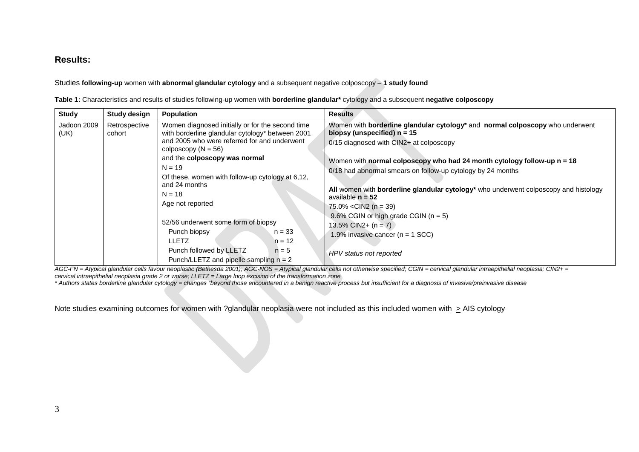## **Results:**

Studies **following-up** women with **abnormal glandular cytology** and a subsequent negative colposcopy – **1 study found**

**Table 1:** Characteristics and results of studies following-up women with **borderline glandular\*** cytology and a subsequent **negative colposcopy**

| <b>Study</b>                                                                                                                                                                                      | Study design                                                                                                                                                                                                                                                                                                                             | Population | <b>Results</b>                                                                                                                                                                                                                                                                                                                                                                                                                     |
|---------------------------------------------------------------------------------------------------------------------------------------------------------------------------------------------------|------------------------------------------------------------------------------------------------------------------------------------------------------------------------------------------------------------------------------------------------------------------------------------------------------------------------------------------|------------|------------------------------------------------------------------------------------------------------------------------------------------------------------------------------------------------------------------------------------------------------------------------------------------------------------------------------------------------------------------------------------------------------------------------------------|
| Jadoon 2009<br>(UK)                                                                                                                                                                               | Women diagnosed initially or for the second time<br>Retrospective<br>with borderline glandular cytology* between 2001<br>cohort<br>and 2005 who were referred for and underwent<br>colposcopy ( $N = 56$ )<br>and the colposcopy was normal<br>$N = 19$<br>Of these, women with follow-up cytology at 6,12,<br>and 24 months<br>$N = 18$ |            | Women with <b>borderline glandular cytology</b> * and <b>normal colposcopy</b> who underwent<br>biopsy (unspecified) $n = 15$<br>0/15 diagnosed with CIN2+ at colposcopy<br>Women with normal colposcopy who had 24 month cytology follow-up $n = 18$<br>0/18 had abnormal smears on follow-up cytology by 24 months<br>All women with borderline glandular cytology* who underwent colposcopy and histology<br>available $n = 52$ |
| Age not reported<br>52/56 underwent some form of biopsy<br>Punch biopsy<br>$n = 33$<br><b>LLETZ</b><br>$n = 12$<br>Punch followed by LLETZ<br>$n = 5$<br>Punch/LLETZ and pipelle sampling $n = 2$ | 75.0% < CIN2 ( $n = 39$ )<br>9.6% CGIN or high grade CGIN ( $n = 5$ )<br>13.5% CIN2+ $(n = 7)$<br>1.9% invasive cancer ( $n = 1$ SCC)<br>HPV status not reported                                                                                                                                                                         |            |                                                                                                                                                                                                                                                                                                                                                                                                                                    |

*AGC-FN = Atypical glandular cells favour neoplastic (Bethesda 2001); AGC-NOS = Atypical glandular cells not otherwise specified; CGIN = cervical glandular intraepithelial neoplasia; CIN2+ = cervical intraepithelial neoplasia grade 2 or worse; LLETZ = Large loop excision of the transformation zone*

*\* Authors states borderline glandular cytology = changes "beyond those encountered in a benign reactive process but insufficient for a diagnosis of invasive/preinvasive disease*

Note studies examining outcomes for women with ?glandular neoplasia were not included as this included women with  $\geq$  AIS cytology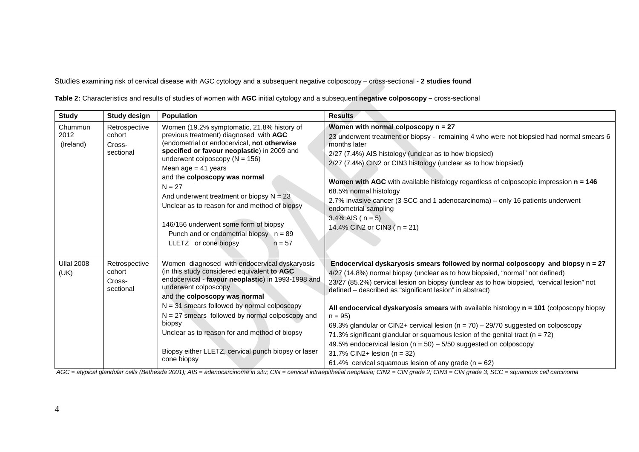Studies examining risk of cervical disease with AGC cytology and a subsequent negative colposcopy – cross-sectional - **2 studies found**

**Table 2:** Characteristics and results of studies of women with **AGC** initial cytology and a subsequent **negative colposcopy –** cross-sectional

| <b>Study</b>                 | <b>Study design</b>                            | Population                                                                                                                                                                                                                                                                                                                                                                                                                                                                                                             | <b>Results</b>                                                                                                                                                                                                                                                                                                                                                                                                                                                                                                                                                                                                                                                                                                                                                                           |
|------------------------------|------------------------------------------------|------------------------------------------------------------------------------------------------------------------------------------------------------------------------------------------------------------------------------------------------------------------------------------------------------------------------------------------------------------------------------------------------------------------------------------------------------------------------------------------------------------------------|------------------------------------------------------------------------------------------------------------------------------------------------------------------------------------------------------------------------------------------------------------------------------------------------------------------------------------------------------------------------------------------------------------------------------------------------------------------------------------------------------------------------------------------------------------------------------------------------------------------------------------------------------------------------------------------------------------------------------------------------------------------------------------------|
| Chummun<br>2012<br>(Ireland) | Retrospective<br>cohort<br>Cross-<br>sectional | Women (19.2% symptomatic, 21.8% history of<br>previous treatment) diagnosed with AGC<br>(endometrial or endocervical, not otherwise<br>specified or favour neoplastic) in 2009 and<br>underwent colposcopy ( $N = 156$ )<br>Mean age $= 41$ years<br>and the colposcopy was normal<br>$N = 27$<br>And underwent treatment or biopsy $N = 23$<br>Unclear as to reason for and method of biopsy<br>146/156 underwent some form of biopsy<br>Punch and or endometrial biopsy $n = 89$<br>LLETZ or cone biopsy<br>$n = 57$ | Women with normal colposcopy $n = 27$<br>23 underwent treatment or biopsy - remaining 4 who were not biopsied had normal smears 6<br>months later<br>2/27 (7.4%) AIS histology (unclear as to how biopsied)<br>2/27 (7.4%) CIN2 or CIN3 histology (unclear as to how biopsied)<br>Women with AGC with available histology regardless of colposcopic impression n = 146<br>68.5% normal histology<br>2.7% invasive cancer (3 SCC and 1 adenocarcinoma) – only 16 patients underwent<br>endometrial sampling<br>$3.4\%$ AIS ( $n = 5$ )<br>14.4% CIN2 or CIN3 ( $n = 21$ )                                                                                                                                                                                                                 |
| <b>Ullal 2008</b><br>(UK)    | Retrospective<br>cohort<br>Cross-<br>sectional | Women diagnosed with endocervical dyskaryosis<br>(in this study considered equivalent to AGC<br>endocervical - favour neoplastic) in 1993-1998 and<br>underwent colposcopy<br>and the colposcopy was normal<br>$N = 31$ smears followed by normal colposcopy<br>$N = 27$ smears followed by normal colposcopy and<br>biopsy<br>Unclear as to reason for and method of biopsy<br>Biopsy either LLETZ, cervical punch biopsy or laser<br>cone biopsy                                                                     | Endocervical dyskaryosis smears followed by normal colposcopy and biopsy n = 27<br>4/27 (14.8%) normal biopsy (unclear as to how biopsied, "normal" not defined)<br>23/27 (85.2%) cervical lesion on biopsy (unclear as to how biopsied, "cervical lesion" not<br>defined – described as "significant lesion" in abstract)<br>All endocervical dyskaryosis smears with available histology $n = 101$ (colposcopy biopsy<br>$n = 95$<br>69.3% glandular or CIN2+ cervical lesion ( $n = 70$ ) – 29/70 suggested on colposcopy<br>71.3% significant glandular or squamous lesion of the genital tract ( $n = 72$ )<br>49.5% endocervical lesion ( $n = 50$ ) – 5/50 suggested on colposcopy<br>31.7% CIN2+ lesion ( $n = 32$ )<br>61.4% cervical squamous lesion of any grade ( $n = 62$ ) |

*AGC = atypical glandular cells (Bethesda 2001); AIS = adenocarcinoma in situ; CIN = cervical intraepithelial neoplasia; CIN2 = CIN grade 2; CIN3 = CIN grade 3; SCC = squamous cell carcinoma*